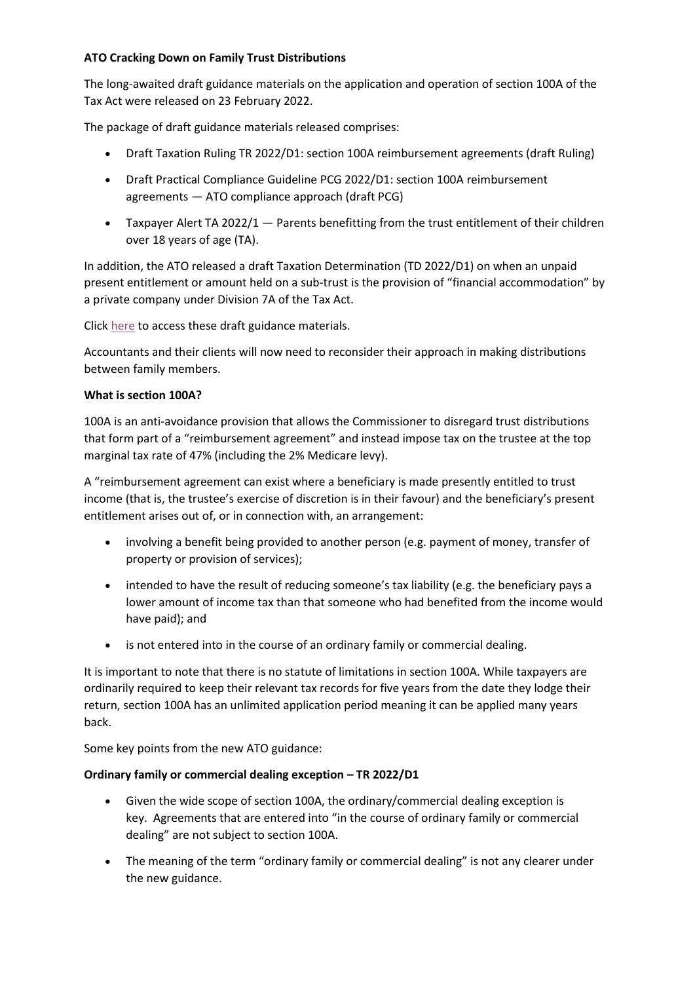# **ATO Cracking Down on Family Trust Distributions**

The long-awaited draft guidance materials on the application and operation of section 100A of the Tax Act were released on 23 February 2022.

The package of draft guidance materials released comprises:

- Draft Taxation Ruling TR 2022/D1: section 100A reimbursement agreements (draft Ruling)
- Draft Practical Compliance Guideline PCG 2022/D1: section 100A reimbursement agreements — ATO compliance approach (draft PCG)
- Taxpayer Alert TA 2022/1 Parents benefitting from the trust entitlement of their children over 18 years of age (TA).

In addition, the ATO released a draft Taxation Determination (TD 2022/D1) on when an unpaid present entitlement or amount held on a sub-trust is the provision of "financial accommodation" by a private company under Division 7A of the Tax Act.

Click [here](https://www.ato.gov.au/Business/Business-bulletins-newsroom/Public-advice-and-guidance/Draft-guidance-products-impacting-trusts-released/) to access these draft guidance materials.

Accountants and their clients will now need to reconsider their approach in making distributions between family members.

## **What is section 100A?**

100A is an anti-avoidance provision that allows the Commissioner to disregard trust distributions that form part of a "reimbursement agreement" and instead impose tax on the trustee at the top marginal tax rate of 47% (including the 2% Medicare levy).

A "reimbursement agreement can exist where a beneficiary is made presently entitled to trust income (that is, the trustee's exercise of discretion is in their favour) and the beneficiary's present entitlement arises out of, or in connection with, an arrangement:

- involving a benefit being provided to another person (e.g. payment of money, transfer of property or provision of services);
- intended to have the result of reducing someone's tax liability (e.g. the beneficiary pays a lower amount of income tax than that someone who had benefited from the income would have paid); and
- is not entered into in the course of an ordinary family or commercial dealing.

It is important to note that there is no statute of limitations in section 100A. While taxpayers are ordinarily required to keep their relevant tax records for five years from the date they lodge their return, section 100A has an unlimited application period meaning it can be applied many years back.

Some key points from the new ATO guidance:

## **Ordinary family or commercial dealing exception – TR 2022/D1**

- Given the wide scope of section 100A, the ordinary/commercial dealing exception is key. Agreements that are entered into "in the course of ordinary family or commercial dealing" are not subject to section 100A.
- The meaning of the term "ordinary family or commercial dealing" is not any clearer under the new guidance.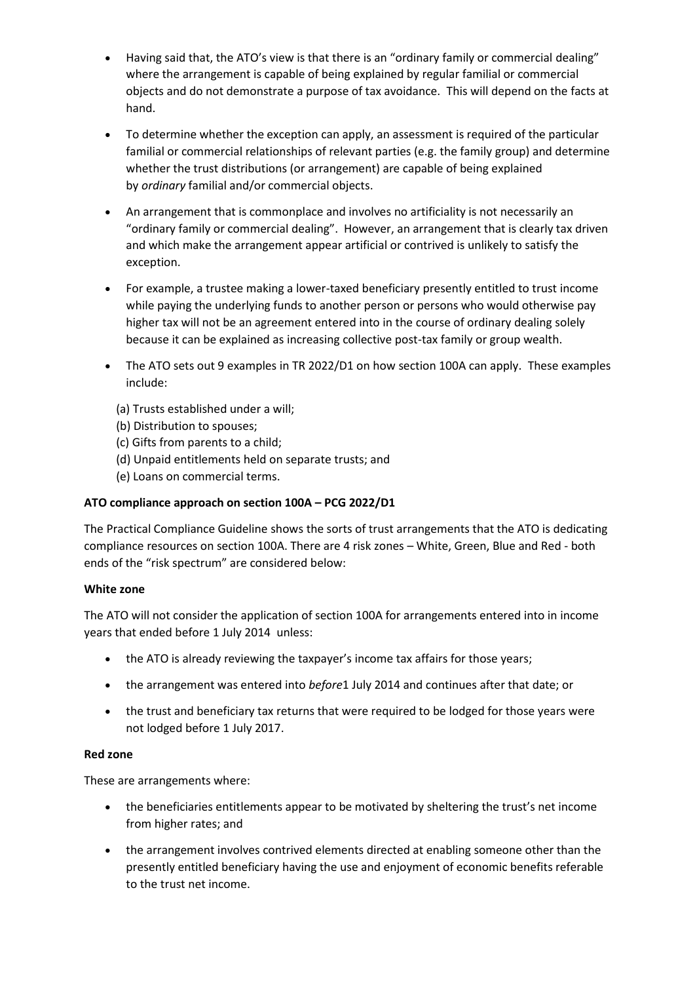- Having said that, the ATO's view is that there is an "ordinary family or commercial dealing" where the arrangement is capable of being explained by regular familial or commercial objects and do not demonstrate a purpose of tax avoidance. This will depend on the facts at hand.
- To determine whether the exception can apply, an assessment is required of the particular familial or commercial relationships of relevant parties (e.g. the family group) and determine whether the trust distributions (or arrangement) are capable of being explained by *ordinary* familial and/or commercial objects.
- An arrangement that is commonplace and involves no artificiality is not necessarily an "ordinary family or commercial dealing". However, an arrangement that is clearly tax driven and which make the arrangement appear artificial or contrived is unlikely to satisfy the exception.
- For example, a trustee making a lower-taxed beneficiary presently entitled to trust income while paying the underlying funds to another person or persons who would otherwise pay higher tax will not be an agreement entered into in the course of ordinary dealing solely because it can be explained as increasing collective post-tax family or group wealth.
- The ATO sets out 9 examples in TR 2022/D1 on how section 100A can apply. These examples include:
	- (a) Trusts established under a will;
	- (b) Distribution to spouses;
	- (c) Gifts from parents to a child;
	- (d) Unpaid entitlements held on separate trusts; and
	- (e) Loans on commercial terms.

## **ATO compliance approach on section 100A – PCG 2022/D1**

The Practical Compliance Guideline shows the sorts of trust arrangements that the ATO is dedicating compliance resources on section 100A. There are 4 risk zones – White, Green, Blue and Red - both ends of the "risk spectrum" are considered below:

#### **White zone**

The ATO will not consider the application of section 100A for arrangements entered into in income years that ended before 1 July 2014 unless:

- the ATO is already reviewing the taxpayer's income tax affairs for those years;
- the arrangement was entered into *before*1 July 2014 and continues after that date; or
- the trust and beneficiary tax returns that were required to be lodged for those years were not lodged before 1 July 2017.

#### **Red zone**

These are arrangements where:

- the beneficiaries entitlements appear to be motivated by sheltering the trust's net income from higher rates; and
- the arrangement involves contrived elements directed at enabling someone other than the presently entitled beneficiary having the use and enjoyment of economic benefits referable to the trust net income.